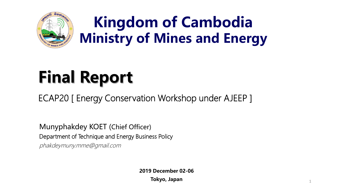

### **Kingdom of Cambodia Ministry of Mines and Energy**

# **Final Report**

ECAP20 [ Energy Conservation Workshop under AJEEP ]

Munyphakdey KOET (Chief Officer) Department of Technique and Energy Business Policy phakdeymuny.mme@gmail.com

**2019 December 02-06**

**Tokyo, Japan**

1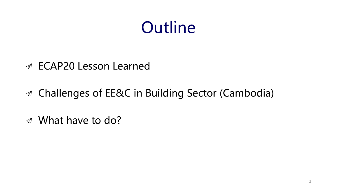## **Outline**

- ECAP20 Lesson Learned
- Challenges of EE&C in Building Sector (Cambodia)
- What have to do?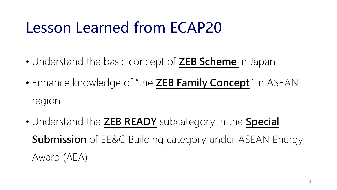#### Lesson Learned from ECAP20

- Understand the basic concept of **ZEB Scheme** in Japan
- Enhance knowledge of "the **ZEB Family Concept**" in ASEAN region
- Understand the **ZEB READY** subcategory in the **Special Submission** of EE&C Building category under ASEAN Energy Award (AEA)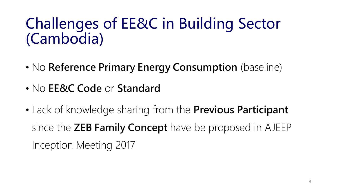#### Challenges of EE&C in Building Sector (Cambodia)

- No **Reference Primary Energy Consumption** (baseline)
- No **EE&C Code** or **Standard**
- Lack of knowledge sharing from the **Previous Participant**  since the **ZEB Family Concept** have be proposed in AJEEP Inception Meeting 2017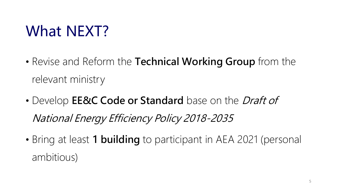### What NEXT?

- Revise and Reform the **Technical Working Group** from the relevant ministry
- Develop **EE&C Code or Standard** base on the Draft of National Energy Efficiency Policy 2018-2035
- Bring at least **1 building** to participant in AEA 2021 (personal ambitious)